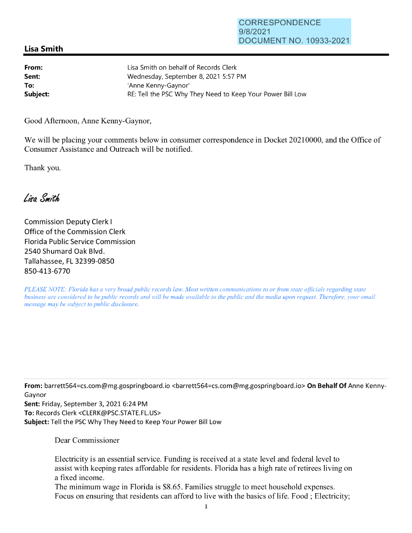## **Lisa Smith**

| From:    | Lisa Smith on behalf of Records Clerk                      |
|----------|------------------------------------------------------------|
| Sent:    | Wednesday, September 8, 2021 5:57 PM                       |
| To:      | 'Anne Kenny-Gaynor'                                        |
| Subject: | RE: Tell the PSC Why They Need to Keep Your Power Bill Low |

Good Afternoon, Anne Kenny-Gaynor,

We will be placing your comments below in consumer correspondence in Docket 20210000, and the Office of Consumer Assistance and Outreach will be notified.

Thank you.

Lisa Smith

Commission Deputy Clerk I Office of the Commission Clerk Florida Public Service Commission 2540 Shumard Oak Blvd. Tallahassee, FL 32399-0850 850-413-6770

*PLEASE NOTE: Florida has a very broad public records law. Most written communications to or from state officials regarding state business are considered to be public records and will be made available to the public and the media upon request. Therefore, your email message may be subject to public disclosure.* 

**From:** barrett564=cs.com@mg.gospringboard.io <barrett564=cs.com@mg.gospringboard.io> **On Behalf Of** Anne Kenny-Gaynor

**Sent:** Friday, September 3, 2021 6:24 PM **To:** Records Clerk <CLERK@PSC.STATE.FL.US> **Subject:** Tell the PSC Why They Need to Keep Your Power Bill Low

Dear Commissioner

Electricity is an essential service. Funding is received at a state level and federal level to assist with keeping rates affordable for residents. Florida has a high rate of retirees living on a fixed income.

The minimum wage in Florida is \$8.65. Families struggle to meet household expenses. Focus on ensuring that residents can afford to live with the basics of life. Food; Electricity;